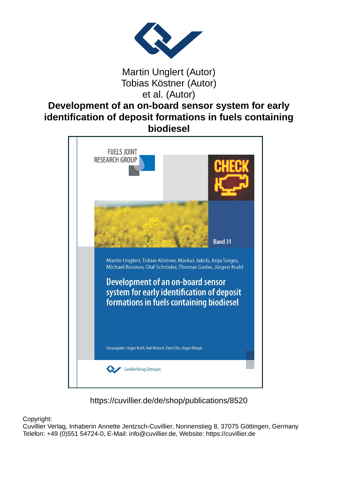

## Martin Unglert (Autor) Tobias Köstner (Autor) et al. (Autor)

## **Development of an on-board sensor system for early identification of deposit formations in fuels containing biodiesel**



https://cuvillier.de/de/shop/publications/8520

Copyright:

Cuvillier Verlag, Inhaberin Annette Jentzsch-Cuvillier, Nonnenstieg 8, 37075 Göttingen, Germany Telefon: +49 (0)551 54724-0, E-Mail: info@cuvillier.de, Website: https://cuvillier.de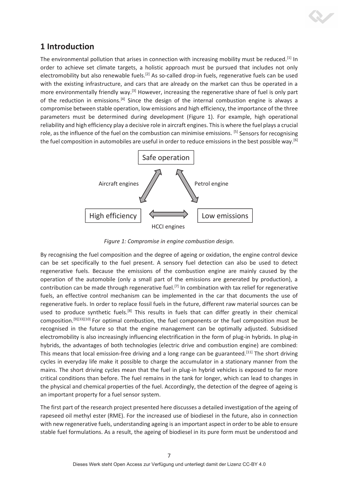

# **1 Introduction**

The environmental pollution that arises in connection with increasing mobility must be reduced.<sup>[1]</sup> In order to achieve set climate targets, a holistic approach must be pursued that includes not only electromobility but also renewable fuels.<sup>[2]</sup> As so-called drop-in fuels, regenerative fuels can be used with the existing infrastructure, and cars that are already on the market can thus be operated in a more environmentally friendly way.<sup>[3]</sup> However, increasing the regenerative share of fuel is only part of the reduction in emissions.<sup>[4]</sup> Since the design of the internal combustion engine is always a compromise between stable operation, low emissions and high efficiency, the importance of the three parameters must be determined during development (Figure 1). For example, high operational reliability and high efficiency play a decisive role in aircraft engines. This is where the fuel plays a crucial role, as the influence of the fuel on the combustion can minimise emissions. [5] Sensors for recognising the fuel composition in automobiles are useful in order to reduce emissions in the best possible way.<sup>[6]</sup>



*Figure 1: Compromise in engine combustion design.* 

By recognising the fuel composition and the degree of ageing or oxidation, the engine control device can be set specifically to the fuel present. A sensory fuel detection can also be used to detect regenerative fuels. Because the emissions of the combustion engine are mainly caused by the operation of the automobile (only a small part of the emissions are generated by production), a contribution can be made through regenerative fuel.<sup>[7]</sup> In combination with tax relief for regenerative fuels, an effective control mechanism can be implemented in the car that documents the use of regenerative fuels. In order to replace fossil fuels in the future, different raw material sources can be used to produce synthetic fuels.<sup>[8]</sup> This results in fuels that can differ greatly in their chemical composition.[9][33][10] For optimal combustion, the fuel components or the fuel composition must be recognised in the future so that the engine management can be optimally adjusted. Subsidised electromobility is also increasingly influencing electrification in the form of plug-in hybrids. In plug-in hybrids, the advantages of both technologies (electric drive and combustion engine) are combined: This means that local emission-free driving and a long range can be guaranteed.<sup>[11]</sup> The short driving cycles in everyday life make it possible to charge the accumulator in a stationary manner from the mains. The short driving cycles mean that the fuel in plug-in hybrid vehicles is exposed to far more critical conditions than before. The fuel remains in the tank for longer, which can lead to changes in the physical and chemical properties of the fuel. Accordingly, the detection of the degree of ageing is an important property for a fuel sensor system.

The first part of the research project presented here discusses a detailed investigation of the ageing of rapeseed oil methyl ester (RME). For the increased use of biodiesel in the future, also in connection with new regenerative fuels, understanding ageing is an important aspect in order to be able to ensure stable fuel formulations. As a result, the ageing of biodiesel in its pure form must be understood and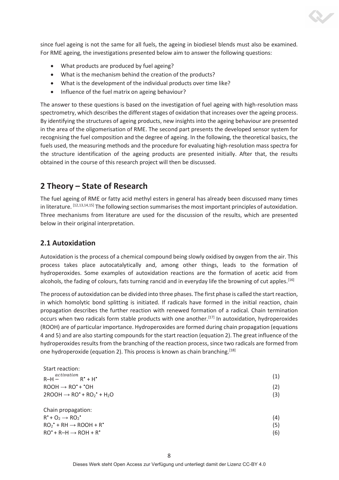since fuel ageing is not the same for all fuels, the ageing in biodiesel blends must also be examined. For RME ageing, the investigations presented below aim to answer the following questions:

- What products are produced by fuel ageing?
- What is the mechanism behind the creation of the products?
- What is the development of the individual products over time like?
- Influence of the fuel matrix on ageing behaviour?

The answer to these questions is based on the investigation of fuel ageing with high-resolution mass spectrometry, which describes the different stages of oxidation that increases over the ageing process. By identifying the structures of ageing products, new insights into the ageing behaviour are presented in the area of the oligomerisation of RME. The second part presents the developed sensor system for recognising the fuel composition and the degree of ageing. In the following, the theoretical basics, the fuels used, the measuring methods and the procedure for evaluating high-resolution mass spectra for the structure identification of the ageing products are presented initially. After that, the results obtained in the course of this research project will then be discussed.

# **2 Theory – State of Research**

The fuel ageing of RME or fatty acid methyl esters in general has already been discussed many times in literature. [12,13,14,15] The following section summarises the most important principles of autoxidation. Three mechanisms from literature are used for the discussion of the results, which are presented below in their original interpretation.

## **2.1 Autoxidation**

Autoxidation is the process of a chemical compound being slowly oxidised by oxygen from the air. This process takes place autocatalytically and, among other things, leads to the formation of hydroperoxides. Some examples of autoxidation reactions are the formation of acetic acid from alcohols, the fading of colours, fats turning rancid and in everyday life the browning of cut apples.<sup>[16]</sup>

The process of autoxidation can be divided into three phases. The first phase is called the start reaction, in which homolytic bond splitting is initiated. If radicals have formed in the initial reaction, chain propagation describes the further reaction with renewed formation of a radical. Chain termination occurs when two radicals form stable products with one another.<sup>[17]</sup> In autoxidation, hydroperoxides (ROOH) are of particular importance. Hydroperoxides are formed during chain propagation (equations 4 and 5) and are also starting compounds for the start reaction (equation 2). The great influence of the hydroperoxides results from the branching of the reaction process, since two radicals are formed from one hydroperoxide (equation 2). This process is known as chain branching.<sup>[18]</sup>

| Start reaction:                                                                          |     |
|------------------------------------------------------------------------------------------|-----|
| activation<br>$R^* + H^*$<br>$R-H -$                                                     | (1) |
| $ROOH \rightarrow RO^* + ^*OH$                                                           | (2) |
| $2$ ROOH $\rightarrow$ RO <sup>*</sup> + RO <sub>2</sub> <sup>*</sup> + H <sub>2</sub> O | (3) |
|                                                                                          |     |
| Chain propagation:                                                                       |     |
| $R^*$ + O <sub>2</sub> $\rightarrow$ RO <sub>2</sub> $*$                                 | (4) |
| $RO_2^{\bullet}$ + RH $\rightarrow$ ROOH + R <sup><math>\bullet</math></sup>             | (5) |
| $RO^* + R-H \rightarrow ROH + R^*$                                                       | (6) |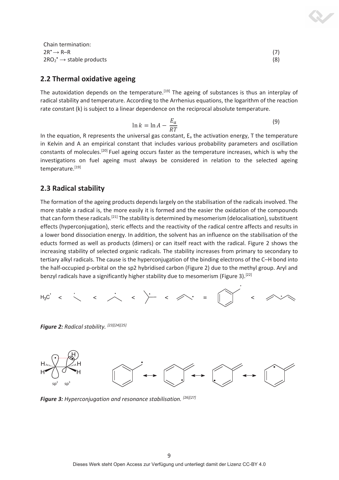| Chain termination:                            |     |
|-----------------------------------------------|-----|
| $2R^{\bullet} \rightarrow R-R$                |     |
| $2RO_2^{\bullet} \rightarrow$ stable products | (8) |

#### **2.2 Thermal oxidative ageing**

The autoxidation depends on the temperature.<sup>[19]</sup> The ageing of substances is thus an interplay of radical stability and temperature. According to the Arrhenius equations, the logarithm of the reaction rate constant (k) is subject to a linear dependence on the reciprocal absolute temperature.

$$
\ln k = \ln A - \frac{E_a}{RT}
$$
 (9)

In the equation, R represents the universal gas constant,  $E_a$  the activation energy, T the temperature in Kelvin and A an empirical constant that includes various probability parameters and oscillation constants of molecules.<sup>[20]</sup> Fuel ageing occurs faster as the temperature increases, which is why the investigations on fuel ageing must always be considered in relation to the selected ageing temperature.<sup>[19]</sup>

#### **2.3 Radical stability**

The formation of the ageing products depends largely on the stabilisation of the radicals involved. The more stable a radical is, the more easily it is formed and the easier the oxidation of the compounds that can form these radicals.<sup>[21]</sup> The stability is determined by mesomerism (delocalisation), substituent effects (hyperconjugation), steric effects and the reactivity of the radical centre affects and results in a lower bond dissociation energy. In addition, the solvent has an influence on the stabilisation of the educts formed as well as products (dimers) or can itself react with the radical. Figure 2 shows the increasing stability of selected organic radicals. The stability increases from primary to secondary to tertiary alkyl radicals. The cause is the hyperconjugation of the binding electrons of the C–H bond into the half-occupied p-orbital on the sp2 hybridised carbon (Figure 2) due to the methyl group. Aryl and benzyl radicals have a significantly higher stability due to mesomerism (Figure 3).<sup>[22]</sup>



*Figure 2: Radical stability. [23][24][25]*



*Figure 3: Hyperconjugation and resonance stabilisation. [26][27]*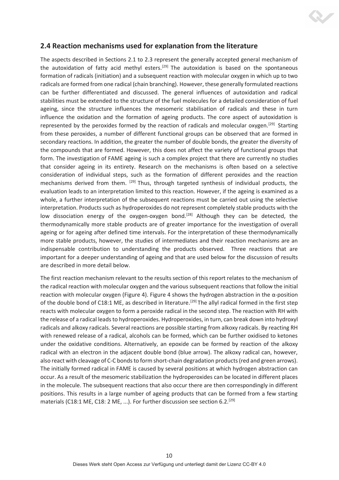## **2.4 Reaction mechanisms used for explanation from the literature**

The aspects described in Sections 2.1 to 2.3 represent the generally accepted general mechanism of the autoxidation of fatty acid methyl esters.<sup>[29]</sup> The autoxidation is based on the spontaneous formation of radicals (initiation) and a subsequent reaction with molecular oxygen in which up to two radicals are formed from one radical (chain branching). However, these generally formulated reactions can be further differentiated and discussed. The general influences of autoxidation and radical stabilities must be extended to the structure of the fuel molecules for a detailed consideration of fuel ageing, since the structure influences the mesomeric stabilisation of radicals and these in turn influence the oxidation and the formation of ageing products. The core aspect of autoxidation is represented by the peroxides formed by the reaction of radicals and molecular oxygen.<sup>[29]</sup> Starting from these peroxides, a number of different functional groups can be observed that are formed in secondary reactions. In addition, the greater the number of double bonds, the greater the diversity of the compounds that are formed. However, this does not affect the variety of functional groups that form. The investigation of FAME ageing is such a complex project that there are currently no studies that consider ageing in its entirety. Research on the mechanisms is often based on a selective consideration of individual steps, such as the formation of different peroxides and the reaction mechanisms derived from them.  $[29]$  Thus, through targeted synthesis of individual products, the evaluation leads to an interpretation limited to this reaction. However, if the ageing is examined as a whole, a further interpretation of the subsequent reactions must be carried out using the selective interpretation. Products such as hydroperoxides do not represent completely stable products with the low dissociation energy of the oxygen-oxygen bond.<sup>[28]</sup> Although they can be detected, the thermodynamically more stable products are of greater importance for the investigation of overall ageing or for ageing after defined time intervals. For the interpretation of these thermodynamically more stable products, however, the studies of intermediates and their reaction mechanisms are an indispensable contribution to understanding the products observed. Three reactions that are important for a deeper understanding of ageing and that are used below for the discussion of results are described in more detail below.

The first reaction mechanism relevant to the results section of this report relates to the mechanism of the radical reaction with molecular oxygen and the various subsequent reactions that follow the initial reaction with molecular oxygen (Figure 4). Figure 4 shows the hydrogen abstraction in the  $\alpha$ -position of the double bond of C18:1 ME, as described in literature.<sup>[29]</sup> The allyl radical formed in the first step reacts with molecular oxygen to form a peroxide radical in the second step. The reaction with RH with the release of a radical leads to hydroperoxides. Hydroperoxides, in turn, can break down into hydroxyl radicals and alkoxy radicals. Several reactions are possible starting from alkoxy radicals. By reacting RH with renewed release of a radical, alcohols can be formed, which can be further oxidised to ketones under the oxidative conditions. Alternatively, an epoxide can be formed by reaction of the alkoxy radical with an electron in the adjacent double bond (blue arrow). The alkoxy radical can, however, also react with cleavage of C-C bonds to form short-chain degradation products (red and green arrows). The initially formed radical in FAME is caused by several positions at which hydrogen abstraction can occur. As a result of the mesomeric stabilization the hydroperoxides can be located in different places in the molecule. The subsequent reactions that also occur there are then correspondingly in different positions. This results in a large number of ageing products that can be formed from a few starting materials (C18:1 ME, C18: 2 ME, ...). For further discussion see section 6.2.<sup>[29]</sup>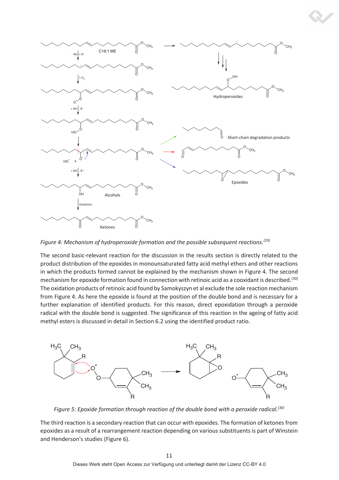

*Figure 4: Mechanism of hydroperoxide formation and the possible subsequent reactions.[29]* 

The second basic-relevant reaction for the discussion in the results section is directly related to the product distribution of the epoxides in monounsaturated fatty acid methyl ethers and other reactions in which the products formed cannot be explained by the mechanism shown in Figure 4. The second mechanism for epoxide formation found in connection with retinoic acid as a cooxidant is described.[30] The oxidation products of retinoic acid found by Samokyszyn et al exclude the sole reaction mechanism from Figure 4. As here the epoxide is found at the position of the double bond and is necessary for a further explanation of identified products. For this reason, direct epoxidation through a peroxide radical with the double bond is suggested. The significance of this reaction in the ageing of fatty acid methyl esters is discussed in detail in Section 6.2 using the identified product ratio.



*Figure 5: Epoxide formation through reaction of the double bond with a peroxide radical.[30]*

The third reaction is a secondary reaction that can occur with epoxides. The formation of ketones from epoxides as a result of a rearrangement reaction depending on various substituents is part of Winstein and Henderson's studies (Figure 6).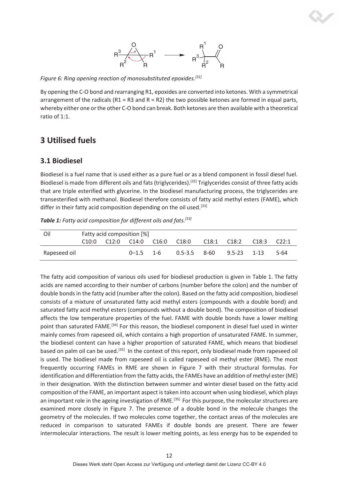

*Figure 6: Ring opening reaction of monosubstituted epoxides.[31]*

By opening the C-O bond and rearranging R1, epoxides are converted into ketones. With a symmetrical arrangement of the radicals ( $R1 = R3$  and  $R = R2$ ) the two possible ketones are formed in equal parts, whereby either one or the other C-O bond can break. Both ketones are then available with a theoretical ratio of 1:1.

# **3 Utilised fuels**

## **3.1 Biodiesel**

Biodiesel is a fuel name that is used either as a pure fuel or as a blend component in fossil diesel fuel. Biodiesel is made from different oils and fats (triglycerides).<sup>[32]</sup> Triglycerides consist of three fatty acids that are triple esterified with glycerine. In the biodiesel manufacturing process, the triglycerides are transesterified with methanol. Biodiesel therefore consists of fatty acid methyl esters (FAME), which differ in their fatty acid composition depending on the oil used.<sup>[33]</sup>

| Oil          | Fatty acid composition [%] |  |                         |  |                              |  |             |       |       |
|--------------|----------------------------|--|-------------------------|--|------------------------------|--|-------------|-------|-------|
|              | C10:0                      |  | C12:0 C14:0 C16:0 C18:0 |  |                              |  | C18:1 C18:2 | C18:3 | C22:1 |
| Rapeseed oil |                            |  | $0 - 1.5$ 1-6           |  | $0.5 - 3.5$ 8-60 9.5-23 1-13 |  |             |       | 5-64  |

*Table 1: Fatty acid composition for different oils and fats.[33]*

The fatty acid composition of various oils used for biodiesel production is given in Table 1. The fatty acids are named according to their number of carbons (number before the colon) and the number of double bonds in the fatty acid (number after the colon). Based on the fatty acid composition, biodiesel consists of a mixture of unsaturated fatty acid methyl esters (compounds with a double bond) and saturated fatty acid methyl esters (compounds without a double bond). The composition of biodiesel affects the low temperature properties of the fuel. FAME with double bonds have a lower melting point than saturated FAME.<sup>[34]</sup> For this reason, the biodiesel component in diesel fuel used in winter mainly comes from rapeseed oil, which contains a high proportion of unsaturated FAME. In summer, the biodiesel content can have a higher proportion of saturated FAME, which means that biodiesel based on palm oil can be used.<sup>[35]</sup> In the context of this report, only biodiesel made from rapeseed oil is used. The biodiesel made from rapeseed oil is called rapeseed oil methyl ester (RME). The most frequently occurring FAMEs in RME are shown in Figure 7 with their structural formulas. For identification and differentiation from the fatty acids, the FAMEs have an addition of methyl ester (ME) in their designation. With the distinction between summer and winter diesel based on the fatty acid composition of the FAME, an important aspect is taken into account when using biodiesel, which plays an important role in the ageing investigation of RME.<sup>[35]</sup> For this purpose, the molecular structures are examined more closely in Figure 7. The presence of a double bond in the molecule changes the geometry of the molecules. If two molecules come together, the contact areas of the molecules are reduced in comparison to saturated FAMEs if double bonds are present. There are fewer intermolecular interactions. The result is lower melting points, as less energy has to be expended to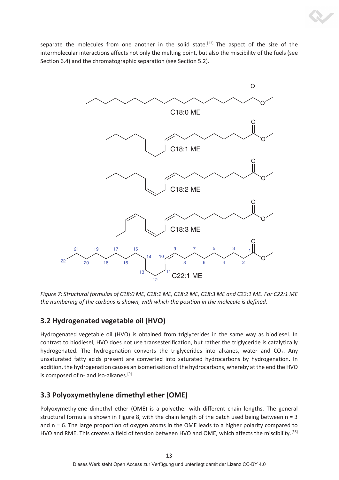separate the molecules from one another in the solid state.<sup>[22]</sup> The aspect of the size of the intermolecular interactions affects not only the melting point, but also the miscibility of the fuels (see Section 6.4) and the chromatographic separation (see Section 5.2).



*Figure 7: Structural formulas of C18:0 ME, C18:1 ME, C18:2 ME, C18:3 ME and C22:1 ME. For C22:1 ME the numbering of the carbons is shown, with which the position in the molecule is defined.* 

# **3.2 Hydrogenated vegetable oil (HVO)**

Hydrogenated vegetable oil (HVO) is obtained from triglycerides in the same way as biodiesel. In contrast to biodiesel, HVO does not use transesterification, but rather the triglyceride is catalytically hydrogenated. The hydrogenation converts the triglycerides into alkanes, water and  $CO<sub>2</sub>$ . Any unsaturated fatty acids present are converted into saturated hydrocarbons by hydrogenation. In addition, the hydrogenation causes an isomerisation of the hydrocarbons, whereby at the end the HVO is composed of n- and iso-alkanes.<sup>[9]</sup>

# **3.3 Polyoxymethylene dimethyl ether (OME)**

Polyoxymethylene dimethyl ether (OME) is a polyether with different chain lengths. The general structural formula is shown in Figure 8, with the chain length of the batch used being between  $n = 3$ and n = 6. The large proportion of oxygen atoms in the OME leads to a higher polarity compared to HVO and RME. This creates a field of tension between HVO and OME, which affects the miscibility.[36]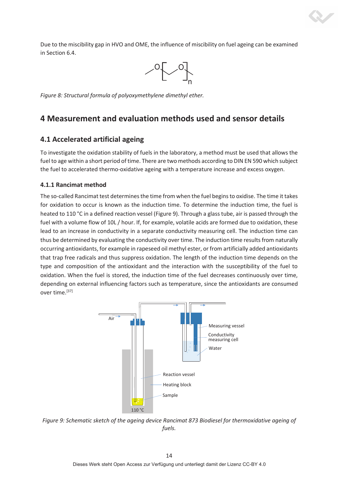Due to the miscibility gap in HVO and OME, the influence of miscibility on fuel ageing can be examined in Section 6.4.



*Figure 8: Structural formula of polyoxymethylene dimethyl ether.* 

## **4 Measurement and evaluation methods used and sensor details**

#### **4.1 Accelerated artificial ageing**

To investigate the oxidation stability of fuels in the laboratory, a method must be used that allows the fuel to age within a short period of time. There are two methods according to DIN EN 590 which subject the fuel to accelerated thermo-oxidative ageing with a temperature increase and excess oxygen.

#### **4.1.1 Rancimat method**

The so-called Rancimat test determines the time from when the fuel begins to oxidise. The time it takes for oxidation to occur is known as the induction time. To determine the induction time, the fuel is heated to 110 °C in a defined reaction vessel (Figure 9). Through a glass tube, air is passed through the fuel with a volume flow of 10L / hour. If, for example, volatile acids are formed due to oxidation, these lead to an increase in conductivity in a separate conductivity measuring cell. The induction time can thus be determined by evaluating the conductivity over time. The induction time results from naturally occurring antioxidants, for example in rapeseed oil methyl ester, or from artificially added antioxidants that trap free radicals and thus suppress oxidation. The length of the induction time depends on the type and composition of the antioxidant and the interaction with the susceptibility of the fuel to oxidation. When the fuel is stored, the induction time of the fuel decreases continuously over time, depending on external influencing factors such as temperature, since the antioxidants are consumed over time.[37]



*Figure 9: Schematic sketch of the ageing device Rancimat 873 Biodiesel for thermoxidative ageing of fuels.*